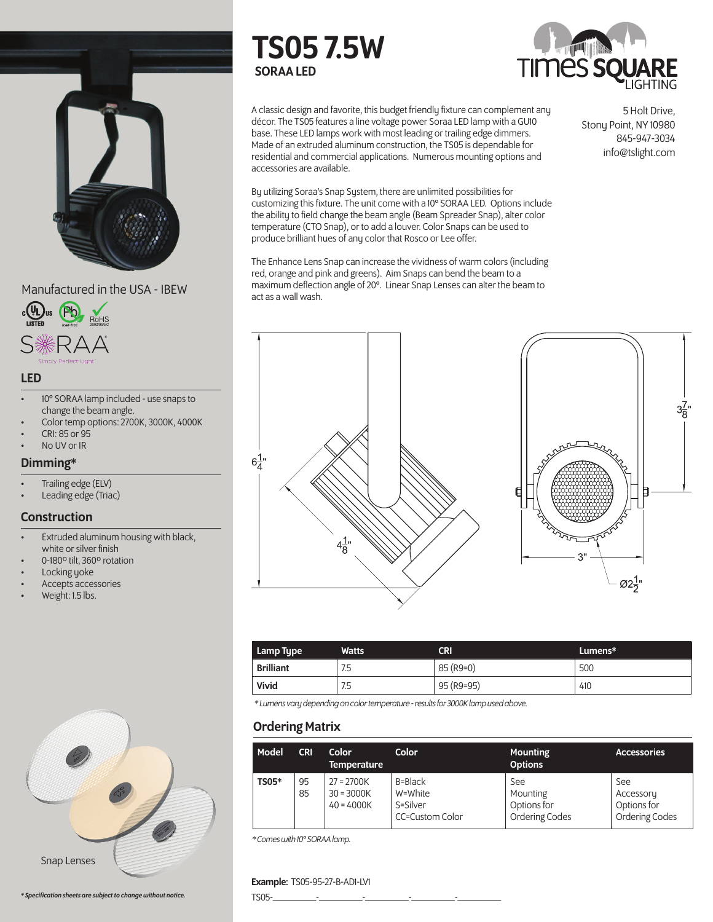



#### LED

- 10° SORAA lamp included use snaps to change the beam angle.
- Color temp options: 2700K, 3000K, 4000K
- CRI: 85 or 95
- No UV or IR

#### Dimming\*

- Trailing edge (ELV)
- Leading edge (Triac)

#### **Construction**

- Extruded aluminum housing with black, white or silver finish
- 0-180º tilt, 360º rotation
- Locking yoke
- Accepts accessories
- Weight: 1.5 lbs.



# TS05 7.5W SORAA LED



A classic design and favorite, this budget friendly fixture can complement any décor. The TS05 features a line voltage power Soraa LED lamp with a GU10 base. These LED lamps work with most leading or trailing edge dimmers. Made of an extruded aluminum construction, the TS05 is dependable for residential and commercial applications. Numerous mounting options and accessories are available.

By utilizing Soraa's Snap System, there are unlimited possibilities for customizing this fixture. The unit come with a 10° SORAA LED. Options include the ability to field change the beam angle (Beam Spreader Snap), alter color temperature (CTO Snap), or to add a louver. Color Snaps can be used to produce brilliant hues of any color that Rosco or Lee offer.

The Enhance Lens Snap can increase the vividness of warm colors (including red, orange and pink and greens). Aim Snaps can bend the beam to a maximum deflection angle of 20°. Linear Snap Lenses can alter the beam to

5 Holt Drive, Stony Point, NY 10980 845-947-3034 info@tslight.com



| Lamp Type        | <b>Watts</b> | <b>CRI</b> | Lumens* |
|------------------|--------------|------------|---------|
| <b>Brilliant</b> | 7.5          | 85 (R9=0)  | 500     |
| Vivid            | 7.5          | 95 (R9=95) | 410     |

*\* Lumens vary depending on color temperature - results for 3000K lamp used above.*

# Ordering Matrix

| Model        | <b>CRI</b> | Color<br><b>Temperature</b>                  | Color                                             | <b>Mounting</b><br><b>Options</b>                | <b>Accessories</b>                                |
|--------------|------------|----------------------------------------------|---------------------------------------------------|--------------------------------------------------|---------------------------------------------------|
| <b>TS05*</b> | 95<br>85   | $27 = 2700K$<br>$30 = 3000K$<br>$40 = 4000K$ | B=Black<br>W=White<br>S=Silver<br>CC=Custom Color | See<br>Mounting<br>Options for<br>Ordering Codes | See<br>Accessory<br>Options for<br>Ordering Codes |

*\* Comes with 10° SORAA lamp.*

#### Example: TS05-95-27-B-AD1-LV1